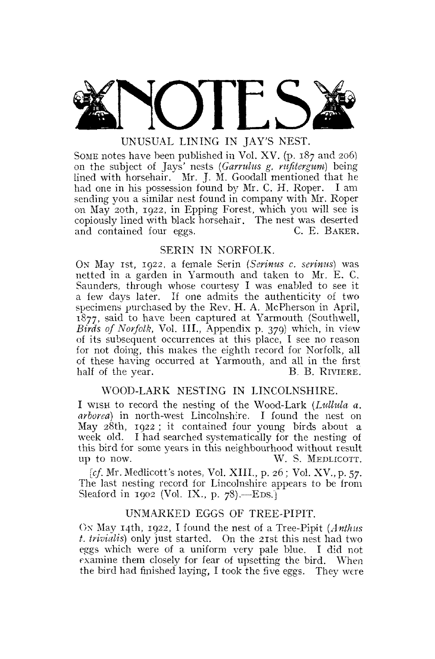MOITS

# UNUSUAL LINING IN JAY'S NEST.

SOME notes have been published in Vol. XV. (p. 187 and 206) on the subject of Jays' nests (Garrulus g. rufitergum) being lined with horsehair. Mr. J. M. Goodall mentioned that he had one in his possession found by Mr. C. H. Roper. I am sending you a similar nest found in company with Mr. Roper on May 20th, 1922, in Epping Forest, which you will see is copiously lined with black horsehair. The nest was deserted and contained four eggs. C. E. BAKER.

# SERIN IN NORFOLK.

ON May 1st, 1922, a female Serin *(Serinus c, serinus)* was netted in a garden in Yarmouth and taken to Mr. E. C. Saunders, through whose courtesy I was enabled to see it a few days later. If one admits the authenticity of two specimens purchased by the Rev. H. A. McPherson in April, 1877, said to have been captured at Yarmouth (Southwell, *Birds of Norfolk,* Vol. III., Appendix p. 379) which, in view of its subsequent occurrences at this place, I see no reason for not doing, this makes the eighth record for Norfolk, all of these having occurred at Yarmouth, and all in the first half of the year. B. B. RIVIERE.

# WOOD-LARK NESTING IN LINCOLNSHIRE.

I WISH to record the nesting of the Wood-Lark *(Lullula a. arborea)* in north-west Lincolnshire. I found the nest on May 28th, 1922 ; it contained four young birds about a week old. I had searched systematically for the nesting of this bird for some years in this neighbourhood without result up to now. W. S. MEDLICOTT.

*[cf.* Mr. Medlicott's notes, Vol. XIII., p. 26; Vol. XV., p. 57. The last nesting record for Lincolnshire appears to be from Sleaford in 1902 (Vol. IX., p. 78).—EDS.]

# UNMARKED EGGS OF TREE-PIPIT.

Ox May 14th, 1922, I found the nest of a Tree-Pipit *(Anthus t. trivialis)* only just started. On the 21st this nest had two eggs which were of a uniform very pale blue. I did not examine them closely for fear of upsetting the bird. When the bird had finished laying, I took the five eggs. They were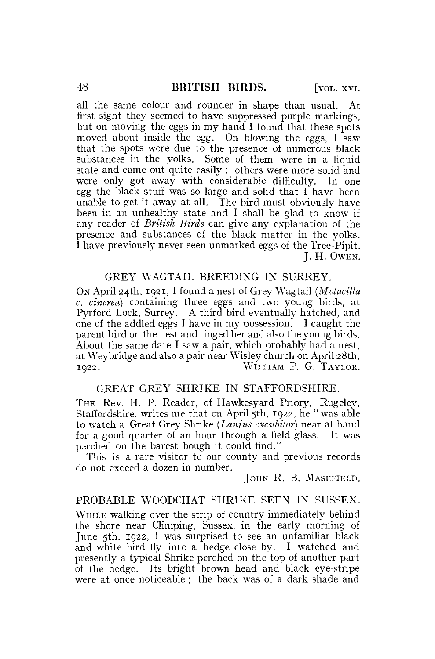all the same colour and rounder in shape than usual. At first sight they seemed to have suppressed purple markings, but on moving the eggs in my hand I found that these spots moved about inside the egg. On blowing the eggs, I saw that the spots were due to the presence of numerous black substances in the yolks. Some of them were in a liquid state and came out quite easily : others were more solid and were only got away with considerable difficulty. In one egg the black stuff was so large and solid that I have been unable to get it away at all. The bird must obviously have been in an unhealthy state and I shall be glad to know if any reader of *British Birds* can give any explanation of the presence and substances of the black matter in the yolks. I have previously never seen unmarked eggs of the Tree-Pipit. J. H. OWEN.

# GREY WAGTAIL BREEDING IN SURREY.

ON April 24th, 1921, I found a nest of Grey Wagtail *(Motacilla c. cinerea)* containing three eggs and two young birds, at Pyrford Lock, Surrey. A third bird eventually hatched, and one of the addled eggs I have in my possession. I caught the parent bird on the nest and ringed her and also the young birds. About the same date I saw a pair, which probably had a nest, at Weybridge and also a pair near Wisley church on April 28th, 1922. WILLIAM P. G. TAYLOR.

## GREAT GREY SHRIKE IN STAFFORDSHIRE.

THE Rev. H. P. Reader, of Hawkesyard Priory, Rugeley, Staffordshire, writes me that on April 5th, 1922, he " was able to watch a Great Grey Shrike *(Lanius excubilor)* near at hand for a good quarter of an hour through a field glass. It was perched on the barest bough it could find."

This is a rare visitor to our county and previous records do not exceed a dozen in number.

JOHN R. B. MASEFIELD.

### PROBABLE WOODCHAT SHRIKE SEEN IN SUSSEX.

WHILE walking over the strip of country immediately behind the shore near Climping, Sussex, in the early morning of June 5th, 1922, I was surprised to see an unfamiliar black and white bird fly into a hedge close by. I watched and presently a typical Shrike perched on the top of another part of the hedge. Its bright brown head and black eye-stripe were at once noticeable ; the back was of a dark shade and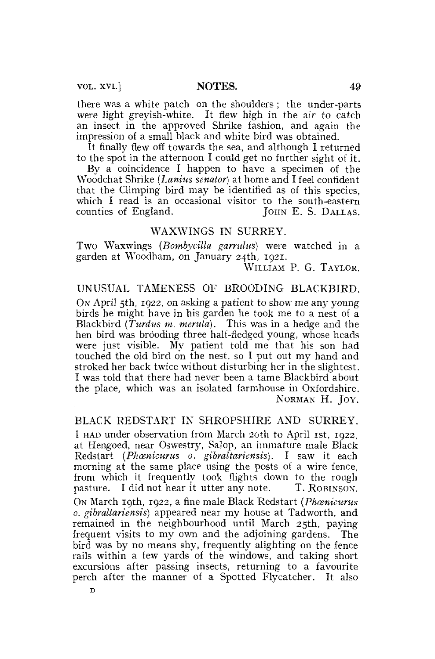VOL. xvi.] NOTES. 49

**D** 

there was a white patch on the shoulders ; the under-parts were light greyish-white. It flew high in the air to catch an insect in the approved Shrike fashion, and again the impression of a small black and white bird was obtained.

It finally flew off towards the sea, and although I returned to the spot in the afternoon I could get no further sight of it.

By a coincidence I happen to have a specimen of the Woodchat Shrike *(Lanius senator)* at home and I feel confident that the Climping bird may be identified as of this species, which I read is an occasional visitor to the south-eastern<br>counties of England. [OHN E. S. DALLAS.] JOHN E. S. DALLAS.

### **WAXWINGS** IN SURREY.

Two Waxwings *(Bombycilla garrulus)* were watched in a garden at Woodham, on January 24th, 1921.

WILLIAM P. G. TAYLOR.

#### UNUSUAL TAMENESS OF BROODING BLACKBIRD.

ON April 5th, 1922, on asking a patient to show me any young birds he might have in his garden he took me to a nest of a Blackbird *(Turdus m. merula).* This was in a hedge and the hen bird was brooding three half-fledged young, whose heads were just visible. My patient told me that his son had touched the old bird on the nest, so I put out my hand and stroked her back twice without disturbing her in the slightest. I was told that there had never been a tame Blackbird about the place, which was an isolated farmhouse in Oxfordshire. NORMAN H. JOY.

#### BLACK REDSTART IN SHROPSHIRE AND SURREY.

I HAD under observation from March 20th to April 1st, 1922, at Hengoed, near Oswestry, Salop, an immature male Black Redstart *(Phcenicurus 0. gibraltariensis).* I saw it each morning at the same place using the posts of a wire fence, from which it frequently took flights down to the rough pasture. I did not hear it utter any note. T. ROBINSON. pasture. I did not hear it utter any note. ON March 19th, 1922, a fine male Black Redstart *{Phcenicurus 0. gibraltariensis)* appeared near my house at Tadworth, and remained in the neighbourhood until March 25th, paying frequent visits to my own and the adjoining gardens. The bird was by no means shy, frequently alighting on the fence rails within a few yards of the windows, and taking short excursions after passing insects, returning to a favourite perch after the manner of a Spotted Flycatcher. It also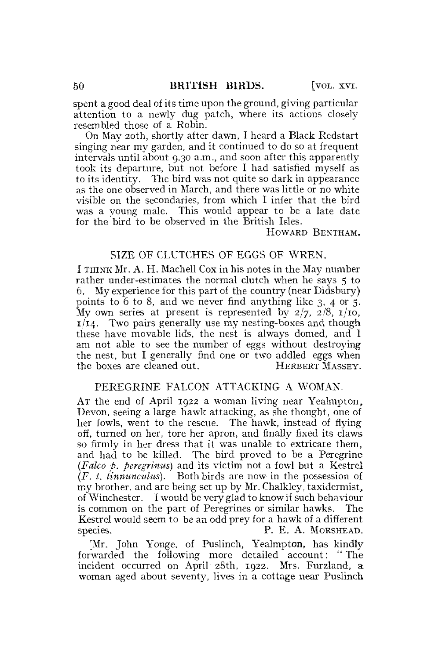spent a good deal of its time upon the ground, giving particular attention to a newly dug patch, where its actions closely resembled those of a Robin.

On May 20th, shortly after dawn, I heard a Black Redstart singing near my garden, and it continued to do so at frequent intervals until about 9.30 a.m., and soon after this apparently took its departure, but not before I had satisfied myself as to its identity. The bird was not quite so dark in appearance as the one observed in March, and there was little or no white visible on the secondaries, from which I infer that the bird was a young male. This would appear to be a late date for the bird to be observed in the British Isles.

#### HOWARD BENTHAM.

#### SIZE OF CLUTCHES OF EGGS OF WREN.

I THINK Mr. A. H. Machell Cox in his notes in the May number rather under-estimates the normal clutch when he says 5 to 6. My experience for this part of the country (near Didsbury) points to 6 to 8, and we never find anything like 3, 4 or 5. My own series at present is represented by  $2/7$ ,  $2/8$ ,  $1/10$ ,  $1/14$ . Two pairs generally use my nesting-boxes and though these have movable lids, the nest is always domed, and I am not able to see the number of eggs without destroying the nest, but I generally find one or two addled eggs when the boxes are cleaned out. HERBERT MASSEY.

### PEREGRINE FALCON ATTACKING A WOMAN.

AT the end of April 1922 a woman living near Yealmpton, Devon, seeing a large hawk attacking, as she thought, one of her fowls, went to the rescue. The hawk, instead of flying off, turned on her, tore her apron, and finally fixed its claws so firmly in her dress that it was unable to extricate them, and had to be killed. The bird proved to be a Peregrine *(Falco p. peregrinus)* and its victim not a fowl but a Kestrel *(F. t. tinnuncuius).* Both birds are now in the possession of my brother, and are being set up by Mr. Chalkley, taxidermist, of Winchester. I would be very glad to know if such behaviour is common on the part of Peregrines or similar hawks. The Kestrel would seem to be an odd prey for a hawk of a different species. P. E. A. MORSHEAD.

[Mr. John Yonge, of Puslinch, Yealmpton, has kindly forwarded the following more detailed account: " The incident occurred on April 28th, 1922. Mrs. Furzland, a woman aged about seventy, lives in a.cottage near Puslinch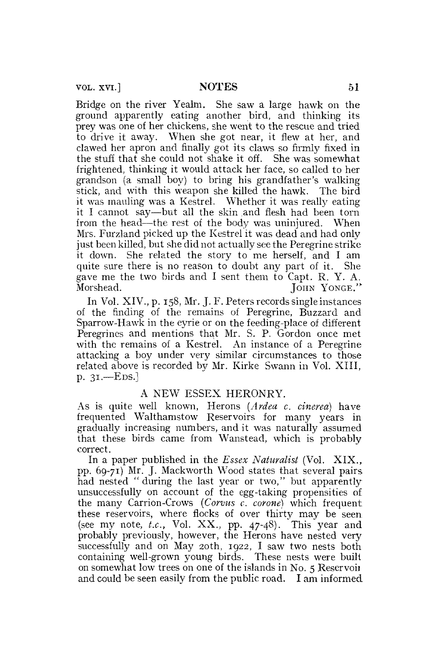vol. xvi.] NOTES 51

Bridge on the river Yealm. She saw a large hawk on the ground apparently eating another bird, and thinking its prey was one of her chickens, she went to the rescue and tried to drive it away. When she got near, it flew at her, and clawed her apron and finally got its claws so firmly fixed in the stuff that she could not shake it off. She was somewhat frightened, thinking it would attack her face, so called to her grandson (a small boy) to bring his grandfather's walking stick, and with this weapon she killed the hawk. The bird it was mauling was a Kestrel. Whether it was really eating it I cannot say—but all the skin and flesh had been torn from the head—the rest of the body was uninjured. When Mrs. Furzland picked up the Kestrel it was dead and had only just been killed, but she did not actually see the Peregrine strike it down. She related the story to me herself, and I am quite sure there is no reason to doubt any part of it. She gave me the two birds and I sent them to Capt. R. Y. A. Morshead. JOHN YONGE."

In Vol. XIV., p. 158, Mr. J. F. Peters records single instances of the finding of the remains of Peregrine, Buzzard and Sparrow-Hawk in the eyrie or on the feeding-place of different Peregrines and mentions that Mr. S. P. Gordon once met with the remains of a Kestrel. An instance of a Peregrine attacking a boy under very similar circumstances to those related above is recorded by Mr. Kirke Swann in Vol. XIII, p. 31.—EDS.]

#### A NEW ESSEX HERONRY.

As is quite well known, Herons *(Ardea c. cinerea)* have frequented Walthamstow Reservoirs for many years in gradually increasing numbers, and it was naturally assumed that these birds came from Wanstead, which is probably correct.

In a paper published in the *Essex Naturalist* (Vol. XIX., pp. 69-71) Mr. J. Mackworth Wood states that several pairs had nested " during the last year or two," but apparently unsuccessfully on account of the egg-taking propensities of the many Carrion-Crows *(Corvus c. corone)* which frequent these reservoirs, where flocks of over thirty may be seen (see my note, *i.e..* Vol. XX., pp. 47-48). This year and probably previously, however, the Herons have nested very successfully and on May 20th, 1922, I saw two nests both containing well-grown young birds. These nests were built on somewhat low trees on one of the islands in No. 5 Reservoii and could be seen easily from the public road. I am informed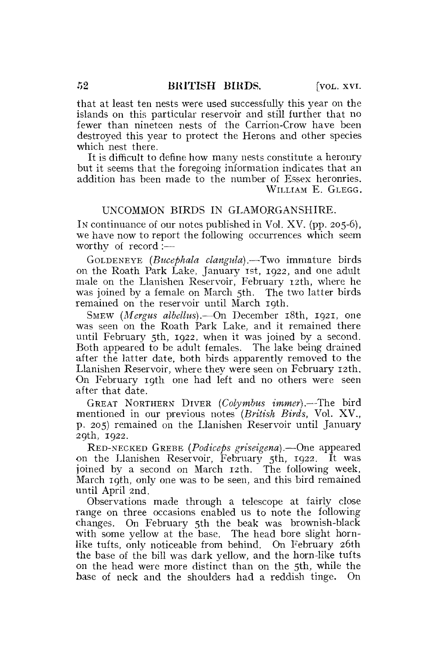that at least ten nests were used successfully this year on the islands on this particular reservoir and still further that no fewer than nineteen nests of the Carrion-Crow have been destroyed this year to protect the Herons and other species which nest there.

It is difficult to define how many nests constitute a heronry but it seems that the foregoing information indicates that an addition has been made to the number of Essex heronries. WILLIAM E. GLEGG.

## UNCOMMON BIRDS IN GLAMORGANSHIRE.

IN continuance of our notes published in Vol. XV. (pp. 205-6), we have now to report the following occurrences which seem worthy of record :—

GOLDENEYE *(Bucephala clangula).*—Two immature birds on the Roath Park Lake, January 1st, 1922, and one adult male on the Llanishen Reservoir, February 12th, where he was joined by a female on March 5th. The two latter birds remained on the reservoir until March 19th.

SMEW *(Mergus albellus).*—On December 18th, 1921, one was seen on the Roath Park Lake, and it remained there until February 5th, 1922, when it was joined by a second. Both appeared to be adult females. The lake being drained after the latter date, both birds apparently removed to the Llanishen Reservoir, where they were seen on February 12th. On February 19th one had left and no others were seen after that date.

GREAT NORTHERN DIVER *(Colymbus immer).*—The bird mentioned in our previous notes *(British Birds,* Vol, XV., p. 205) remained on the Llanishen Reservoir until January 29th, 1922.

RED-NECKED GREBE *[Podiceps griseigena).*—One appeared on the Llanishen Reservoir, February 5th, 1922. It was joined by a second on March 12th. The following week, March 19th, only one was to be seen, and this bird remained until April 2nd,

Observations made through a telescope at fairly close, range on three occasions enabled us to note the following changes. On February 5th the beak was brownish-black with some yellow at the base. The head bore slight hornlike tufts, only noticeable from behind. On February 26th the base of the bill was dark yellow, and the horn-like tufts on the head were more distinct than on the 5th, while the base of neck and the shoulders had a reddish tinge. On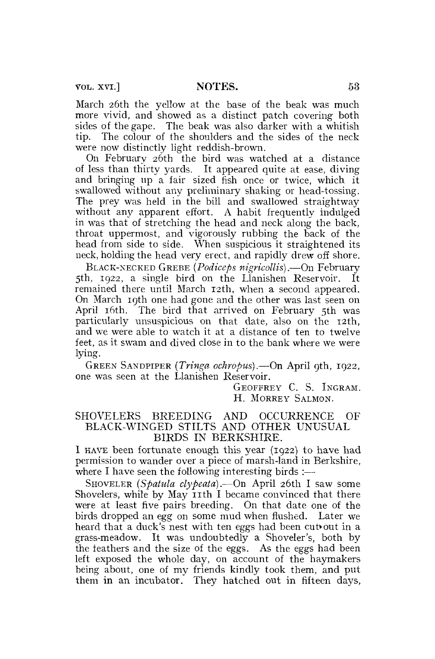vol. xvi.] NOTES. 53

March 26th the yellow at the base of the beak was much more vivid, and showed as a distinct patch covering both sides of the gape. The beak was also darker with a whitish tip. The colour of the shoulders and the sides of the neck were now distinctly light reddish-brown.

On February 26th the bird was watched at a distance of less than thirty yards. It appeared quite at ease, diving and bringing up a fair sized fish once or twice, which it swallowed without any preliminary shaking or head-tossing. The prey was held in the bill and swallowed straightway without any apparent effort. A habit frequently indulged in was that of stretching the head and neck along the back, throat uppermost, and vigorously rubbing the back of the head from side to side. When suspicious it straightened its neck, holding the head very erect, and rapidly drew off shore.

BLACK-NECKED GREBE *(Podiceps nigricollis).*—On February  $5th$ ,  $1922$ , a single bird on the Llanishen Reservoir. remained there until March 12th, when a second appeared. On March 19th one had gone and the other was last seen on April 16th. The bird that arrived on February 5th was particularly unsuspicious on that date, also on the 12th, and we were able to watch it at a distance of ten to twelve feet, as it swam and dived close in to the bank where we were lying.

GREEN SANDPIPER *(Tringa ochropus),*—On April 9th, 1922, one was seen at the Llanishen Reservoir.

> GEOFFREY C. S. INGRAM. H. MORREY SALMON.

### SHOVELERS BREEDING AND OCCURRENCE OF BLACK-WINGED STILTS AND OTHER UNUSUAL BIRDS IN BERKSHIRE.

I HAVE been fortunate enough this year (1922) to have had permission to wander over a piece of marsh-land in Berkshire, where I have seen the following interesting birds  $:$ —

SHOVELER *(Spatula clypeata).*—On April 26th I saw some Shovelers, while by May  $I$ th I became convinced that there were at least five pairs breeding. On that date one of the birds dropped an egg on some mud when flushed. Later we heard that a duck's nest with ten eggs had been cut out in a grass-meadow. It was undoubtedly a Shoveler's, both by the feathers and the size of the eggs. As the eggs had been left exposed the whole day, on account of the haymakers being about, one of my friends kindly took them, and put them in an incubator. They hatched out in fifteen days,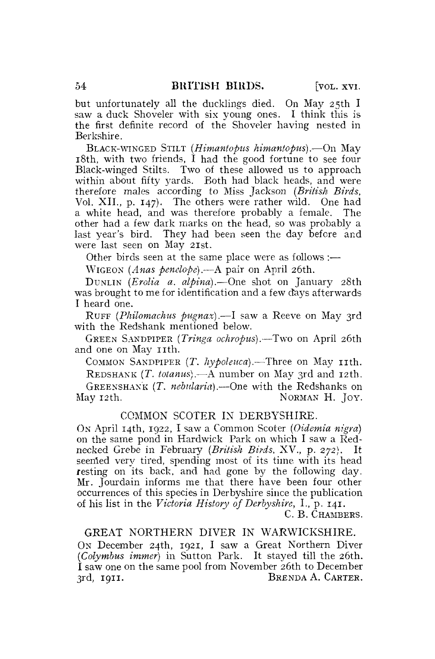but unfortunately all the ducklings died. On May 25th I saw a duck Shoveler with six young ones. I think this is the first definite record of the Shoveler having nested in Berkshire.

BLACK-WINGED STILT *(Himantopus himantopus).*—On May  $18th$ , with two friends, I had the good fortune to see four Black-winged Stilts. Two of these allowed us to approach within about fifty yards. Both had black heads, and were therefore males according to Miss Jackson *{British Birds,*  Vol. XII., p. 147). The others were rather wild. One had a white head, and was therefore probably a female. The other had a few dark marks on the head, so was probably a last year's bird. They had been seen the day before and were last seen on May 21st.

Other birds seen at the same place were as follows :—

WIGEON (Anas penelope).—A pair on April 26th.

DUNLIN *(Erolia a. alpina).*—One shot on January 28th was brought to me for identification and a few days afterwards I heard one.

RUFF *(Philomachus pugnax).*—I saw a Reeve on May 3rd with the Redshank mentioned below.

GREEN SANDPIPER *(Tringa ochropus).*—Two on April 26th and one on May 11th.

COMMON SANDPIPER (T. hypoleuca).—Three on May 11th.

REDSHANK *(T. totanus).—&* number on May 3rd and 12th. GREENSHANK *(T. nebularia).*—One with the Redshanks on May 12th. NORMAN H. JOY.

### COMMON SCOTER IN DERBYSHIRE.

ON April 14th, 1922, I saw a Common Scoter *(Oidemia nigra)*  on the same pond in Hardwick Park on which I saw a Rednecked Grebe in February *(British Birds,* XV., p. 272). It seemed very tired, spending most of its time with its head resting on its back, and had gone by the following day. Mr. Jourdain informs me that there have been four other occurrences of this species in Derbyshire since the publication of his list in the *Victoria History of Derbyshire,* **I.,** p. **141.** 

C. B. CHAMBERS.

GREAT NORTHERN DIVER IN WARWICKSHIRE. ON December 24th, 1921, I saw a Great Northern Diver *(Colymbus immer)* in Sutton Park. It stayed till the 26th. I saw one on the same pool from November 26th to December 3rd, **1911.** BRENDA A. CARTER.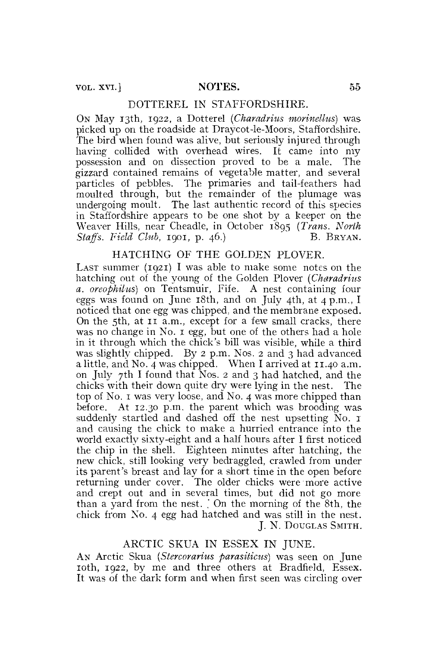### DOTTEREL IN STAFFORDSHIRE.

ON May 13th, 1922, a Dotterel *(Charadrius morinellus)* was picked up on the roadside at Draycot-le-Moors, Staffordshire. The bird when found was alive, but seriously injured through having collided with overhead wires. It came into my possession and on dissection proved to be a male. The gizzard contained remains of vegetable matter, and several particles of pebbles. The primaries and tail-feathers had moulted through, but the remainder of the plumage was undergoing moult. The last authentic record of this species in Staffordshire appears to be one shot by a keeper on the Weaver Hills, near Cheadle, in October 1895 *{Trans. North Staffs. Field Club.* 1901, p. 46.) B. BRYAN.

### HATCHING OF THE GOLDEN PLOVER.

LAST summer  $(1921)$  I was able to make some notes on the hatching out of the young of the Golden Plover *(Charadrius a. oreophilus)* on Tentsmuir, Fife. A nest containing four eggs was found on June 18th, and on July 4th, at 4 p.m., I noticed that one egg was chipped, and the membrane exposed. On the 5th, at 11 a.m., except for a few small cracks, there was no change in No. 1 egg, but one of the others had a hole in it through which the chick's bill was visible, while a third was slightly chipped. By 2 p.m. Nos. 2 and 3 had advanced a little, and No. 4 was chipped. When I arrived at 11.40 a.m. on July 7th I found that Nos. 2 and 3 had hatched, and the chicks with their down quite dry were lying in the nest. The top of No. 1 was very loose, and No. 4 was more chipped than before. At 12.30 p.m. the parent which was brooding was suddenly startled and dashed off the nest upsetting No. 1 and causing the chick to make a hurried entrance into the world exactly sixty-eight and a half hours after I first noticed the chip in the shell. Eighteen minutes after hatching, the new chick, still looking very bedraggled, crawled from under its parent's breast and lay for a short time in the open before returning under cover. The older chicks were more active and crept out and in several times, but did not go more than a yard from the nest. ' On the morning of the 8th, the chick from No. 4 egg had hatched and was still in the nest. J. N. DOUGLAS SMITH.

### ARCTIC SKUA IN ESSEX IN JUNE.

AN Arctic Skua *(Stercorarius parasiticus)* was seen on June 10th, 1922, by me and three others at Bradfield, Essex. It was of the dark form and when first seen was circling over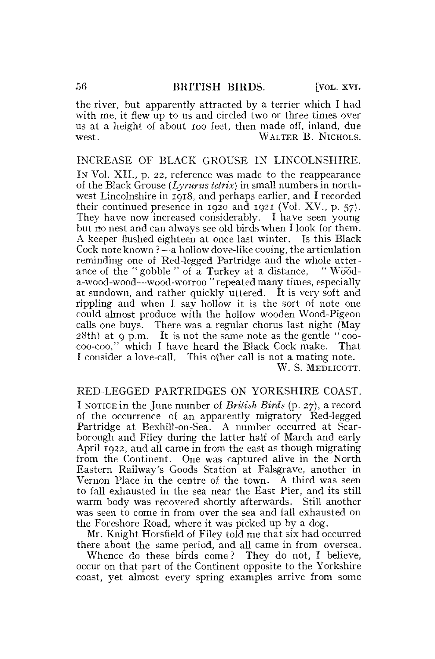the river, but apparently attracted by a terrier which I had with me, it flew up to us and circled two or three times over us at a height of about ioo feet, then made off, inland, due WALTER B. NICHOLS.

### INCREASE OF BLACK GROUSE IN LINCOLNSHIRE.

IN Vol. XII., p. 22, reference was made to the reappearance of the Black Grouse *{Lyrurus tetrix)* in small numbers in northwest Lincolnshire in 1918, and perhaps earlier, and I recorded their continued presence in 1920 and 1921 (Vol. XV., p. 57). They have now increased considerably. I have seen young but no nest and can always see old birds when I look for them. A keeper flushed eighteen at once last winter. Is this Black Cock note known ?—a hollow dove-like cooing, the articulation reminding one of Red-legged Partridge and the whole utterance of the " gobble " of a Turkey at a distance, " Wooda-wood-wood—-wood-worroo " repeated many times, especially at sundown, and rather quickly uttered. It is very soft and rippling and when I say hollow it is the sort of note one could almost produce with the hollow wooden Wood-Pigeon calls one buys. There was a regular chorus last night (May  $28th$ ) at 9 p.m. It is not the same note as the gentle "coocoo-coo," which I have heard the Black Cock make. That I consider a love-call. This other call is not a mating note. W. S. MEDLICOTT.

# RED-LEGGED PARTRIDGES ON YORKSHIRE COAST.

I NOTICE in the June number of *British Birds* (p. 27), a record of the occurrence of an apparently migratory Red-legged Partridge at Bexhill-on-Sea. A number occurred at Scarborough and Filey during the latter half of March and early April 1922, and all came in from the east as though migrating from the Continent. One was captured alive in the North Eastern Railway's Goods Station at Falsgrave, another in Vernon Place in the centre of the town. A third was seen to fall exhausted in the sea near the East Pier, and its still warm body was recovered shortly afterwards. Still another was seen to come in from over the sea and fall exhausted on the Foreshore Road, where it was picked up by a dog.

Mr. Knight Horsfield of Filey told me that six had occurred there about the same period, and all came in from oversea.

Whence do these birds come ? They do not, I believe, occur on that part of the Continent opposite to the Yorkshire coast, yet almost every spring examples arrive from some